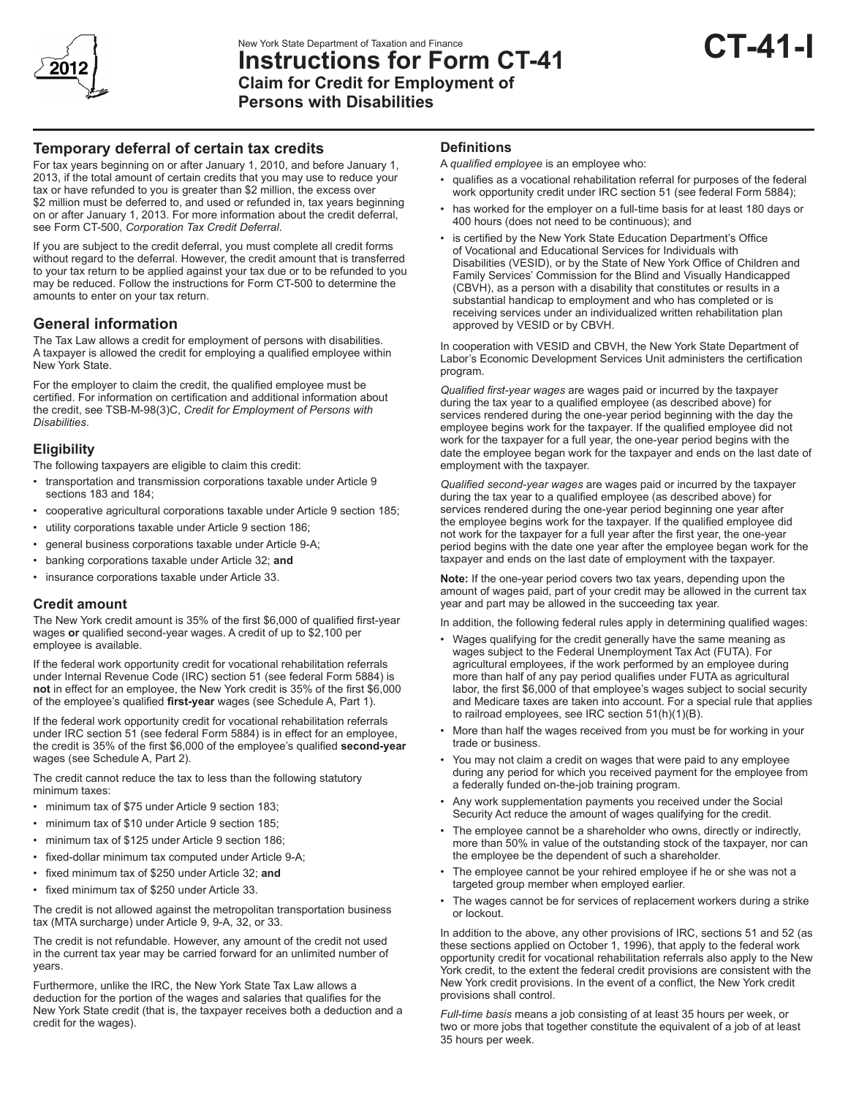

# **Temporary deferral of certain tax credits**

For tax years beginning on or after January 1, 2010, and before January 1, 2013, if the total amount of certain credits that you may use to reduce your tax or have refunded to you is greater than \$2 million, the excess over \$2 million must be deferred to, and used or refunded in, tax years beginning on or after January 1, 2013. For more information about the credit deferral, see Form CT-500*, Corporation Tax Credit Deferral*.

If you are subject to the credit deferral, you must complete all credit forms without regard to the deferral. However, the credit amount that is transferred to your tax return to be applied against your tax due or to be refunded to you may be reduced. Follow the instructions for Form CT-500 to determine the amounts to enter on your tax return.

## **General information**

The Tax Law allows a credit for employment of persons with disabilities. A taxpayer is allowed the credit for employing a qualified employee within New York State.

For the employer to claim the credit, the qualified employee must be certified. For information on certification and additional information about the credit, see TSB-M-98(3)C, *Credit for Employment of Persons with Disabilities*.

### **Eligibility**

The following taxpayers are eligible to claim this credit:

- transportation and transmission corporations taxable under Article 9 sections 183 and 184;
- cooperative agricultural corporations taxable under Article 9 section 185;
- utility corporations taxable under Article 9 section 186;
- general business corporations taxable under Article 9-A;
- banking corporations taxable under Article 32; **and**
- insurance corporations taxable under Article 33.

### **Credit amount**

The New York credit amount is 35% of the first \$6,000 of qualified first-year wages **or** qualified second-year wages. A credit of up to \$2,100 per employee is available.

If the federal work opportunity credit for vocational rehabilitation referrals under Internal Revenue Code (IRC) section 51 (see federal Form 5884) is **not** in effect for an employee, the New York credit is 35% of the first \$6,000 of the employee's qualified **first-year** wages (see Schedule A, Part 1).

If the federal work opportunity credit for vocational rehabilitation referrals under IRC section 51 (see federal Form 5884) is in effect for an employee, the credit is 35% of the first \$6,000 of the employee's qualified **second-year** wages (see Schedule A, Part 2).

The credit cannot reduce the tax to less than the following statutory minimum taxes:

- minimum tax of \$75 under Article 9 section 183;
- minimum tax of \$10 under Article 9 section 185:
- minimum tax of \$125 under Article 9 section 186;
- fixed-dollar minimum tax computed under Article 9-A;
- fixed minimum tax of \$250 under Article 32; **and**
- fixed minimum tax of \$250 under Article 33.

The credit is not allowed against the metropolitan transportation business tax (MTA surcharge) under Article 9, 9-A, 32, or 33.

The credit is not refundable. However, any amount of the credit not used in the current tax year may be carried forward for an unlimited number of years.

Furthermore, unlike the IRC, the New York State Tax Law allows a deduction for the portion of the wages and salaries that qualifies for the New York State credit (that is, the taxpayer receives both a deduction and a credit for the wages).

#### **Definitions**

A *qualified employee* is an employee who:

- qualifies as a vocational rehabilitation referral for purposes of the federal work opportunity credit under IRC section 51 (see federal Form 5884);
- has worked for the employer on a full-time basis for at least 180 days or 400 hours (does not need to be continuous); and
- is certified by the New York State Education Department's Office of Vocational and Educational Services for Individuals with Disabilities (VESID), or by the State of New York Office of Children and Family Services' Commission for the Blind and Visually Handicapped (CBVH), as a person with a disability that constitutes or results in a substantial handicap to employment and who has completed or is receiving services under an individualized written rehabilitation plan approved by VESID or by CBVH.

In cooperation with VESID and CBVH, the New York State Department of Labor's Economic Development Services Unit administers the certification program.

*Qualified first-year wages* are wages paid or incurred by the taxpayer during the tax year to a qualified employee (as described above) for services rendered during the one-year period beginning with the day the employee begins work for the taxpayer. If the qualified employee did not work for the taxpayer for a full year, the one-year period begins with the date the employee began work for the taxpayer and ends on the last date of employment with the taxpayer.

*Qualified second-year wages* are wages paid or incurred by the taxpayer during the tax year to a qualified employee (as described above) for services rendered during the one-year period beginning one year after the employee begins work for the taxpayer. If the qualified employee did not work for the taxpayer for a full year after the first year, the one-year period begins with the date one year after the employee began work for the taxpayer and ends on the last date of employment with the taxpayer.

**Note:** If the one-year period covers two tax years, depending upon the amount of wages paid, part of your credit may be allowed in the current tax year and part may be allowed in the succeeding tax year.

In addition, the following federal rules apply in determining qualified wages:

- Wages qualifying for the credit generally have the same meaning as wages subject to the Federal Unemployment Tax Act (FUTA). For agricultural employees, if the work performed by an employee during more than half of any pay period qualifies under FUTA as agricultural labor, the first \$6,000 of that employee's wages subject to social security and Medicare taxes are taken into account. For a special rule that applies to railroad employees, see IRC section 51(h)(1)(B).
- More than half the wages received from you must be for working in your trade or business.
- You may not claim a credit on wages that were paid to any employee during any period for which you received payment for the employee from a federally funded on-the-job training program.
- Any work supplementation payments you received under the Social Security Act reduce the amount of wages qualifying for the credit.
- The employee cannot be a shareholder who owns, directly or indirectly, more than 50% in value of the outstanding stock of the taxpayer, nor can the employee be the dependent of such a shareholder.
- The employee cannot be your rehired employee if he or she was not a targeted group member when employed earlier.
- The wages cannot be for services of replacement workers during a strike or lockout.

In addition to the above, any other provisions of IRC, sections 51 and 52 (as these sections applied on October 1, 1996), that apply to the federal work opportunity credit for vocational rehabilitation referrals also apply to the New York credit, to the extent the federal credit provisions are consistent with the New York credit provisions. In the event of a conflict, the New York credit provisions shall control.

*Full-time basis* means a job consisting of at least 35 hours per week, or two or more jobs that together constitute the equivalent of a job of at least 35 hours per week.